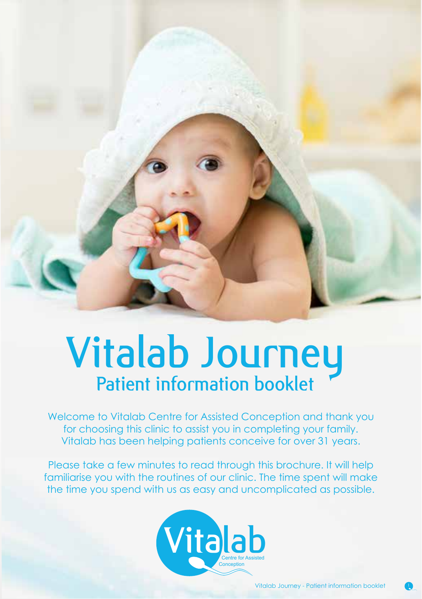

# Vitalab Journey Patient information booklet

Welcome to Vitalab Centre for Assisted Conception and thank you for choosing this clinic to assist you in completing your family. Vitalab has been helping patients conceive for over 31 years.

Please take a few minutes to read through this brochure. It will help familiarise you with the routines of our clinic. The time spent will make the time you spend with us as easy and uncomplicated as possible.

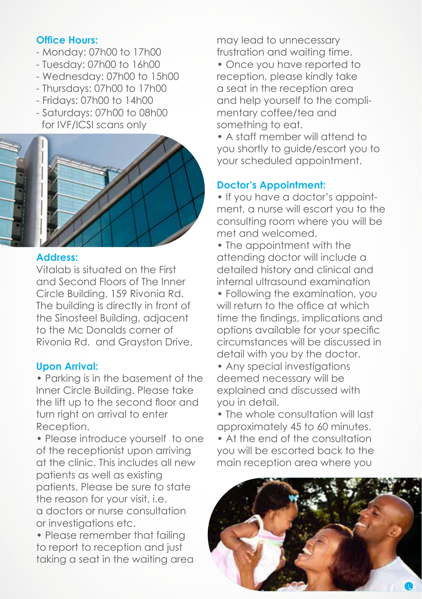#### **Office Hours:**

- Monday: 07h00 to 17h00
- Tuesday: 07h00 to 16h00
- Wednesday: 07h00 to 15h00
- Thursdays: 07h00 to 17h00
- Fridays: 07h00 to 14h00
- Saturdays: 07h00 to 08h00 for IVF/ICSI scans only



# **Address:**

Vitalab is situated on the First and Second Floors of The Inner Circle Building, 159 Rivonia Rd. The building is directly in front of the Sinosteel Building, adjacent to the Mc Donalds corner of Rivonia Rd. and Grayston Drive.

### **Upon Arrival:**

• Parking is in the basement of the Inner Circle Building. Please take the lift up to the second floor and turn right on arrival to enter Reception.

• Please introduce yourself to one of the receptionist upon arriving at the clinic. This includes all new patients as well as existing patients. Please be sure to state the reason for your visit, i.e. a doctors or nurse consultation or investigations etc.

• Please remember that failing to report to reception and just taking a seat in the waiting area may lead to unnecessary frustration and waiting time.

• Once you have reported to reception, please kindly take a seat in the reception area and help yourself to the complimentary coffee/tea and something to eat.

• A staff member will attend to you shortly to guide/escort you to your scheduled appointment.

# **Doctor's Appointment:**

• If you have a doctor's appointment, a nurse will escort you to the consulting room where you will be met and welcomed.

• The appointment with the attending doctor will include a detailed history and clinical and internal ultrasound examination

• Following the examination, you will return to the office at which time the findings, implications and options available for your specific circumstances will be discussed in detail with you by the doctor.

- Any special investigations deemed necessary will be explained and discussed with you in detail.
- The whole consultation will last approximately 45 to 60 minutes.
- At the end of the consultation you will be escorted back to the main reception area where you

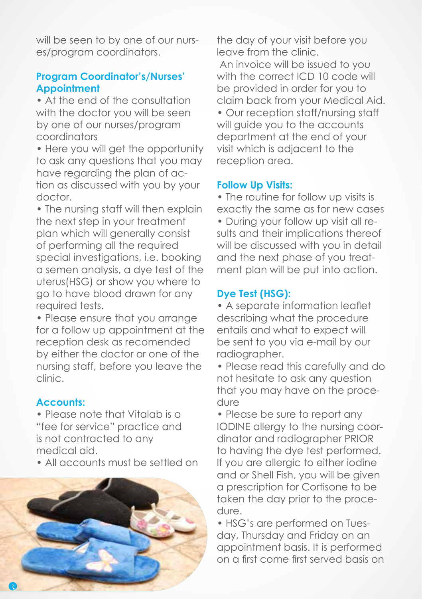will be seen to by one of our nurses/program coordinators.

## **Program Coordinator's/Nurses' Appointment**

• At the end of the consultation with the doctor you will be seen by one of our nurses/program coordinators

• Here you will get the opportunity to ask any questions that you may have regarding the plan of action as discussed with you by your doctor.

• The nursing staff will then explain the next step in your treatment plan which will generally consist of performing all the required special investigations, i.e. booking a semen analysis, a dye test of the uterus(HSG) or show you where to go to have blood drawn for any required tests.

• Please ensure that you arrange for a follow up appointment at the reception desk as recomended by either the doctor or one of the nursing staff, before you leave the clinic.

### **Accounts:**

• Please note that Vitalab is a "fee for service" practice and is not contracted to any medical aid.

• All accounts must be settled on



the day of your visit before you leave from the clinic. An invoice will be issued to you with the correct ICD 10 code will be provided in order for you to claim back from your Medical Aid. • Our reception staff/nursing staff will quide you to the accounts department at the end of your visit which is adjacent to the reception area.

### **Follow Up Visits:**

• The routine for follow up visits is exactly the same as for new cases • During your follow up visit all results and their implications thereof will be discussed with you in detail and the next phase of you treatment plan will be put into action.

# **Dye Test (HSG):**

• A separate information leaflet describing what the procedure entails and what to expect will be sent to you via e-mail by our radiographer.

• Please read this carefully and do not hesitate to ask any question that you may have on the procedure

• Please be sure to report any IODINE allergy to the nursing coordinator and radiographer PRIOR to having the dye test performed. If you are allergic to either iodine and or Shell Fish, you will be given a prescription for Cortisone to be taken the day prior to the procedure.

• HSG's are performed on Tuesday, Thursday and Friday on an appointment basis. It is performed on a first come first served basis on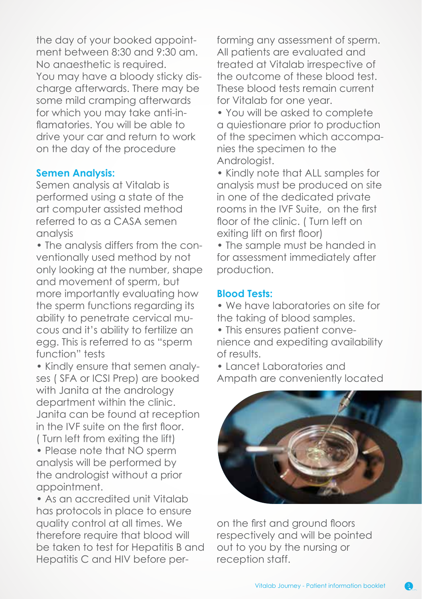the day of your booked appointment between 8:30 and 9:30 am. No anaesthetic is required. You may have a bloody sticky discharge afterwards. There may be some mild cramping afterwards for which you may take anti-inflamatories. You will be able to drive your car and return to work on the day of the procedure

#### **Semen Analysis:**

Semen analysis at Vitalab is performed using a state of the art computer assisted method referred to as a CASA semen analysis

• The analysis differs from the conventionally used method by not only looking at the number, shape and movement of sperm, but more importantly evaluating how the sperm functions regarding its ability to penetrate cervical mucous and it's ability to fertilize an egg. This is referred to as "sperm function" tests

• Kindly ensure that semen analyses ( SFA or ICSI Prep) are booked with Janita at the andrology department within the clinic. Janita can be found at reception in the IVF suite on the first floor. ( Turn left from exiting the lift) • Please note that NO sperm analysis will be performed by the andrologist without a prior appointment.

• As an accredited unit Vitalab has protocols in place to ensure quality control at all times. We therefore require that blood will be taken to test for Hepatitis B and Hepatitis C and HIV before per-

forming any assessment of sperm. All patients are evaluated and treated at Vitalab irrespective of the outcome of these blood test. These blood tests remain current for Vitalab for one year.

• You will be asked to complete a quiestionare prior to production of the specimen which accompanies the specimen to the Andrologist.

• Kindly note that ALL samples for analysis must be produced on site in one of the dedicated private rooms in the IVF Suite, on the first floor of the clinic. ( Turn left on exiting lift on first floor)

• The sample must be handed in for assessment immediately after production.

#### **Blood Tests:**

• We have laboratories on site for the taking of blood samples.

• This ensures patient convenience and expediting availability of results.

• Lancet Laboratories and Ampath are conveniently located



on the first and ground floors respectively and will be pointed out to you by the nursing or reception staff.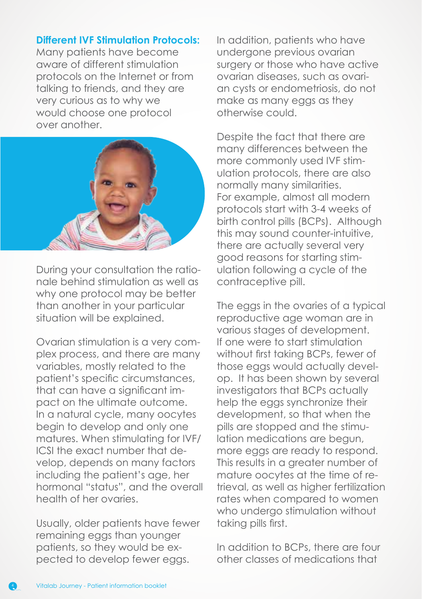#### **Different IVF Stimulation Protocols:**

Many patients have become aware of different stimulation protocols on the Internet or from talking to friends, and they are very curious as to why we would choose one protocol over another.



During your consultation the rationale behind stimulation as well as why one protocol may be better than another in your particular situation will be explained.

Ovarian stimulation is a very complex process, and there are many variables, mostly related to the patient's specific circumstances, that can have a significant impact on the ultimate outcome. In a natural cycle, many oocytes begin to develop and only one matures. When stimulating for IVF/ ICSI the exact number that develop, depends on many factors including the patient's age, her hormonal "status", and the overall health of her ovaries.

Usually, older patients have fewer remaining eggs than younger patients, so they would be expected to develop fewer eggs.

In addition, patients who have undergone previous ovarian surgery or those who have active ovarian diseases, such as ovarian cysts or endometriosis, do not make as many eggs as they otherwise could.

Despite the fact that there are many differences between the more commonly used IVF stimulation protocols, there are also normally many similarities. For example, almost all modern protocols start with 3-4 weeks of birth control pills (BCPs). Although this may sound counter-intuitive, there are actually several very good reasons for starting stimulation following a cycle of the contraceptive pill.

The eggs in the ovaries of a typical reproductive age woman are in various stages of development. If one were to start stimulation without first taking BCPs, fewer of those eggs would actually develop. It has been shown by several investigators that BCPs actually help the eggs synchronize their development, so that when the pills are stopped and the stimulation medications are begun, more eggs are ready to respond. This results in a greater number of mature oocytes at the time of retrieval, as well as higher fertilization rates when compared to women who undergo stimulation without taking pills first.

In addition to BCPs, there are four other classes of medications that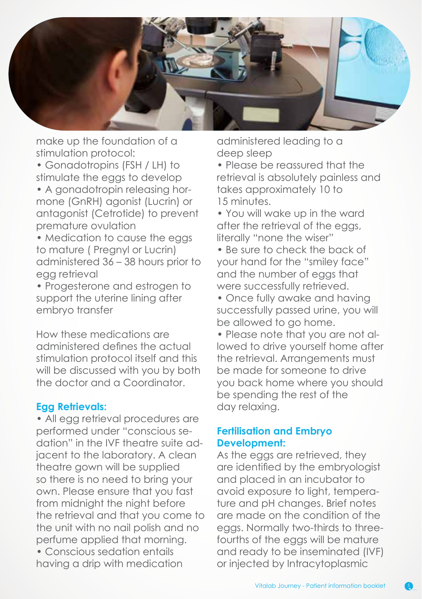

make up the foundation of a stimulation protocol:

• Gonadotropins (FSH / LH) to stimulate the eggs to develop

• A gonadotropin releasing hormone (GnRH) agonist (Lucrin) or antagonist (Cetrotide) to prevent premature ovulation

• Medication to cause the eggs to mature ( Pregnyl or Lucrin) administered 36 – 38 hours prior to egg retrieval

• Progesterone and estrogen to support the uterine lining after embryo transfer

How these medications are administered defines the actual stimulation protocol itself and this will be discussed with you by both the doctor and a Coordinator.

#### **Egg Retrievals:**

• All egg retrieval procedures are performed under "conscious sedation" in the IVF theatre suite adjacent to the laboratory. A clean theatre gown will be supplied so there is no need to bring your own. Please ensure that you fast from midnight the night before the retrieval and that you come to the unit with no nail polish and no perfume applied that morning.

• Conscious sedation entails having a drip with medication administered leading to a deep sleep

• Please be reassured that the retrieval is absolutely painless and takes approximately 10 to 15 minutes.

• You will wake up in the ward after the retrieval of the eggs, literally "none the wiser"

• Be sure to check the back of your hand for the "smiley face" and the number of eggs that were successfully retrieved.

• Once fully awake and having successfully passed urine, you will be allowed to go home.

• Please note that you are not allowed to drive yourself home after the retrieval. Arrangements must be made for someone to drive you back home where you should be spending the rest of the day relaxing.

#### **Fertilisation and Embryo Development:**

As the eggs are retrieved, they are identified by the embryologist and placed in an incubator to avoid exposure to light, temperature and pH changes. Brief notes are made on the condition of the eggs. Normally two-thirds to threefourths of the eggs will be mature and ready to be inseminated (IVF) or injected by Intracytoplasmic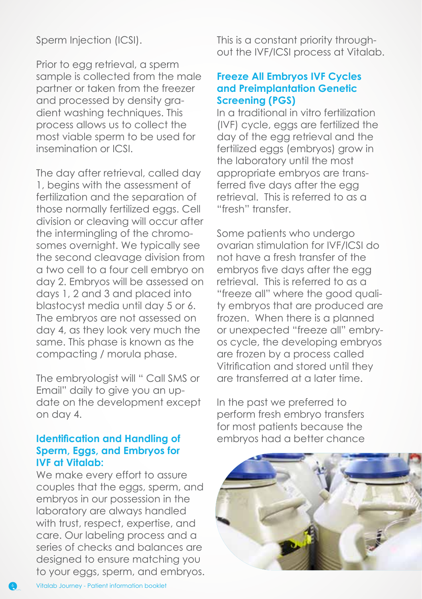### Sperm Injection (ICSI).

Prior to egg retrieval, a sperm sample is collected from the male partner or taken from the freezer and processed by density gradient washing techniques. This process allows us to collect the most viable sperm to be used for insemination or ICSI.

The day after retrieval, called day 1, begins with the assessment of fertilization and the separation of those normally fertilized eggs. Cell division or cleaving will occur after the intermingling of the chromosomes overnight. We typically see the second cleavage division from a two cell to a four cell embryo on day 2. Embryos will be assessed on days 1, 2 and 3 and placed into blastocyst media until day 5 or 6. The embryos are not assessed on day 4, as they look very much the same. This phase is known as the compacting / morula phase.

The embryologist will " Call SMS or Email" daily to give you an update on the development except on day 4.

## **Identification and Handling of Sperm, Eggs, and Embryos for IVF at Vitalab:**

We make every effort to assure couples that the eggs, sperm, and embryos in our possession in the laboratory are always handled with trust, respect, expertise, and care. Our labeling process and a series of checks and balances are designed to ensure matching you to your eggs, sperm, and embryos. This is a constant priority throughout the IVF/ICSI process at Vitalab.

#### **Freeze All Embryos IVF Cycles and Preimplantation Genetic Screening (PGS)**

In a traditional in vitro fertilization (IVF) cycle, eggs are fertilized the day of the egg retrieval and the fertilized eggs (embryos) grow in the laboratory until the most appropriate embryos are transferred five days after the egg retrieval. This is referred to as a "fresh" transfer.

Some patients who undergo ovarian stimulation for IVF/ICSI do not have a fresh transfer of the embryos five days after the egg retrieval. This is referred to as a "freeze all" where the good quality embryos that are produced are frozen. When there is a planned or unexpected "freeze all" embryos cycle, the developing embryos are frozen by a process called Vitrification and stored until they are transferred at a later time.

In the past we preferred to perform fresh embryo transfers for most patients because the embryos had a better chance

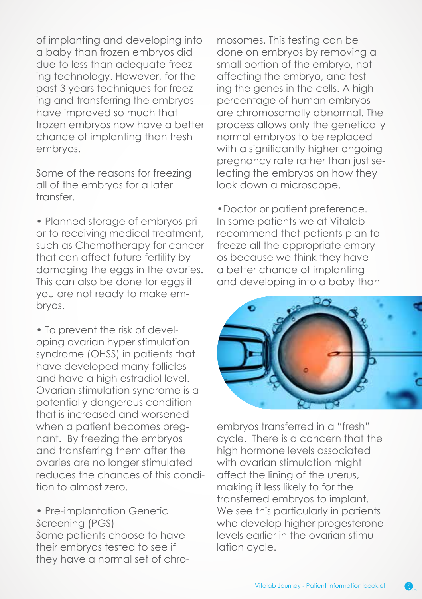of implanting and developing into a baby than frozen embryos did due to less than adequate freezing technology. However, for the past 3 years techniques for freezing and transferring the embryos have improved so much that frozen embryos now have a better chance of implanting than fresh embryos.

Some of the reasons for freezing all of the embryos for a later transfer.

• Planned storage of embryos prior to receiving medical treatment, such as Chemotherapy for cancer that can affect future fertility by damaging the eggs in the ovaries. This can also be done for eggs if you are not ready to make embryos.

• To prevent the risk of developing ovarian hyper stimulation syndrome (OHSS) in patients that have developed many follicles and have a high estradiol level. Ovarian stimulation syndrome is a potentially dangerous condition that is increased and worsened when a patient becomes pregnant. By freezing the embryos and transferring them after the ovaries are no longer stimulated reduces the chances of this condition to almost zero.

• Pre-implantation Genetic Screening (PGS) Some patients choose to have their embryos tested to see if they have a normal set of chro-

mosomes. This testing can be done on embryos by removing a small portion of the embryo, not affecting the embryo, and testing the genes in the cells. A high percentage of human embryos are chromosomally abnormal. The process allows only the genetically normal embryos to be replaced with a significantly higher ongoing pregnancy rate rather than just selecting the embryos on how they look down a microscope.

•Doctor or patient preference. In some patients we at Vitalab recommend that patients plan to freeze all the appropriate embryos because we think they have a better chance of implanting and developing into a baby than



embryos transferred in a "fresh" cycle. There is a concern that the high hormone levels associated with ovarian stimulation might affect the lining of the uterus, making it less likely to for the transferred embryos to implant. We see this particularly in patients who develop higher progesterone levels earlier in the ovarian stimulation cycle.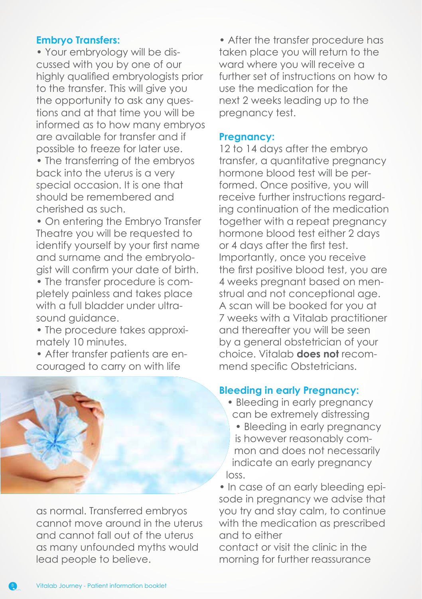# **Embryo Transfers:**

• Your embryology will be discussed with you by one of our highly qualified embryologists prior to the transfer. This will give you the opportunity to ask any questions and at that time you will be informed as to how many embryos are available for transfer and if possible to freeze for later use.

• The transferring of the embryos back into the uterus is a very special occasion. It is one that should be remembered and cherished as such.

• On entering the Embryo Transfer Theatre you will be requested to identify yourself by your first name and surname and the embryologist will confirm your date of birth.

• The transfer procedure is completely painless and takes place with a full bladder under ultrasound guidance.

• The procedure takes approximately 10 minutes.

• After transfer patients are encouraged to carry on with life



as normal. Transferred embryos cannot move around in the uterus and cannot fall out of the uterus as many unfounded myths would lead people to believe.

• After the transfer procedure has taken place you will return to the ward where you will receive a further set of instructions on how to use the medication for the next 2 weeks leading up to the pregnancy test.

#### **Pregnancy:**

12 to 14 days after the embryo transfer, a quantitative pregnancy hormone blood test will be performed. Once positive, you will receive further instructions regarding continuation of the medication together with a repeat pregnancy hormone blood test either 2 days or 4 days after the first test. Importantly, once you receive the first positive blood test, you are 4 weeks pregnant based on menstrual and not conceptional age. A scan will be booked for you at 7 weeks with a Vitalab practitioner and thereafter you will be seen by a general obstetrician of your choice. Vitalab **does not** recommend specific Obstetricians.

#### **Bleeding in early Pregnancy:**

- Bleeding in early pregnancy can be extremely distressing
- Bleeding in early pregnancy is however reasonably common and does not necessarily indicate an early pregnancy loss.

• In case of an early bleeding episode in pregnancy we advise that you try and stay calm, to continue with the medication as prescribed and to either

contact or visit the clinic in the morning for further reassurance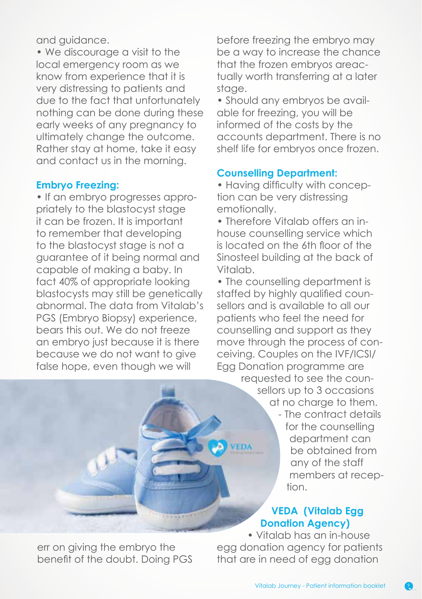and guidance.

• We discourage a visit to the local emergency room as we know from experience that it is very distressing to patients and due to the fact that unfortunately nothing can be done during these early weeks of any pregnancy to ultimately change the outcome. Rather stay at home, take it easy and contact us in the morning.

### **Embryo Freezing:**

• If an embryo progresses appropriately to the blastocyst stage it can be frozen. It is important to remember that developing to the blastocyst stage is not a guarantee of it being normal and capable of making a baby. In fact 40% of appropriate looking blastocysts may still be genetically abnormal. The data from Vitalab's PGS (Embryo Biopsy) experience, bears this out. We do not freeze an embryo just because it is there because we do not want to give false hope, even though we will

before freezing the embryo may be a way to increase the chance that the frozen embryos areactually worth transferring at a later stage.

• Should any embryos be available for freezing, you will be informed of the costs by the accounts department. There is no shelf life for embryos once frozen.

### **Counselling Department:**

• Having difficulty with conception can be very distressing emotionally.

• Therefore Vitalab offers an inhouse counselling service which is located on the 6th floor of the Sinosteel building at the back of Vitalab.

• The counselling department is staffed by highly qualified counsellors and is available to all our patients who feel the need for counselling and support as they move through the process of conceiving. Couples on the IVF/ICSI/ Egg Donation programme are

requested to see the counsellors up to 3 occasions at no charge to them. - The contract details for the counselling department can be obtained from any of the staff members at recep-

# **VEDA (Vitalab Egg Donation Agency)**

• Vitalab has an in-house egg donation agency for patients that are in need of egg donation

tion.

err on giving the embryo the benefit of the doubt. Doing PGS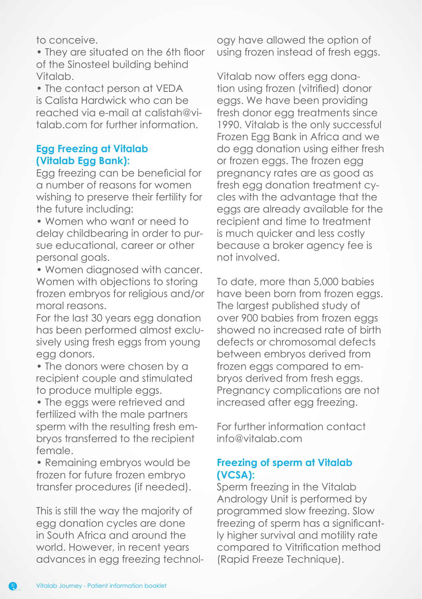to conceive.

• They are situated on the 6th floor of the Sinosteel building behind Vitalab.

• The contact person at VEDA is Calista Hardwick who can be reached via e-mail at calistah@vitalab.com for further information.

#### **Egg Freezing at Vitalab (Vitalab Egg Bank):**

Egg freezing can be beneficial for a number of reasons for women wishing to preserve their fertility for the future including:

• Women who want or need to delay childbearing in order to pursue educational, career or other personal goals.

• Women diagnosed with cancer. Women with objections to storing frozen embryos for religious and/or moral reasons.

For the last 30 years egg donation has been performed almost exclusively using fresh eggs from young egg donors.

• The donors were chosen by a recipient couple and stimulated to produce multiple eggs.

• The eggs were retrieved and fertilized with the male partners sperm with the resulting fresh embryos transferred to the recipient female.

• Remaining embryos would be frozen for future frozen embryo transfer procedures (if needed).

This is still the way the majority of egg donation cycles are done in South Africa and around the world. However, in recent years advances in egg freezing technol-

ogy have allowed the option of using frozen instead of fresh eggs.

Vitalab now offers egg donation using frozen (vitrified) donor eggs. We have been providing fresh donor egg treatments since 1990. Vitalab is the only successful Frozen Egg Bank in Africa and we do egg donation using either fresh or frozen eggs. The frozen egg pregnancy rates are as good as fresh egg donation treatment cycles with the advantage that the eggs are already available for the recipient and time to treatment is much quicker and less costly because a broker agency fee is not involved.

To date, more than 5,000 babies have been born from frozen eggs. The largest published study of over 900 babies from frozen eggs showed no increased rate of birth defects or chromosomal defects between embryos derived from frozen eggs compared to embryos derived from fresh eggs. Pregnancy complications are not increased after egg freezing.

For further information contact info@vitalab.com

## **Freezing of sperm at Vitalab (VCSA):**

Sperm freezing in the Vitalab Andrology Unit is performed by programmed slow freezing. Slow freezing of sperm has a significantly higher survival and motility rate compared to Vitrification method (Rapid Freeze Technique).